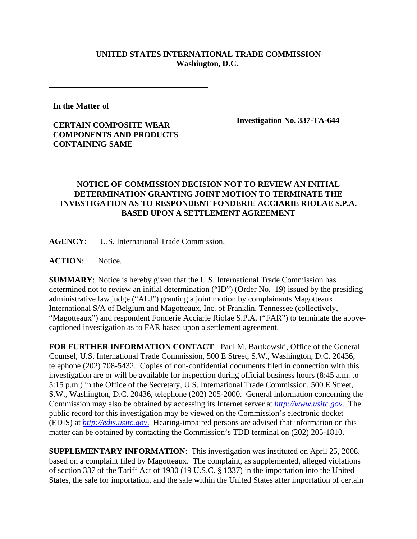## **UNITED STATES INTERNATIONAL TRADE COMMISSION Washington, D.C.**

**In the Matter of** 

## **CERTAIN COMPOSITE WEAR COMPONENTS AND PRODUCTS CONTAINING SAME**

**Investigation No. 337-TA-644**

## **NOTICE OF COMMISSION DECISION NOT TO REVIEW AN INITIAL DETERMINATION GRANTING JOINT MOTION TO TERMINATE THE INVESTIGATION AS TO RESPONDENT FONDERIE ACCIARIE RIOLAE S.P.A. BASED UPON A SETTLEMENT AGREEMENT**

**AGENCY**: U.S. International Trade Commission.

**ACTION**: Notice.

**SUMMARY**: Notice is hereby given that the U.S. International Trade Commission has determined not to review an initial determination ("ID") (Order No. 19) issued by the presiding administrative law judge ("ALJ") granting a joint motion by complainants Magotteaux International S/A of Belgium and Magotteaux, Inc. of Franklin, Tennessee (collectively, "Magotteaux") and respondent Fonderie Acciarie Riolae S.P.A. ("FAR") to terminate the abovecaptioned investigation as to FAR based upon a settlement agreement.

**FOR FURTHER INFORMATION CONTACT**: Paul M. Bartkowski, Office of the General Counsel, U.S. International Trade Commission, 500 E Street, S.W., Washington, D.C. 20436, telephone (202) 708-5432. Copies of non-confidential documents filed in connection with this investigation are or will be available for inspection during official business hours (8:45 a.m. to 5:15 p.m.) in the Office of the Secretary, U.S. International Trade Commission, 500 E Street, S.W., Washington, D.C. 20436, telephone (202) 205-2000. General information concerning the Commission may also be obtained by accessing its Internet server at *http://www.usitc.gov*. The public record for this investigation may be viewed on the Commission's electronic docket (EDIS) at *http://edis.usitc.gov*. Hearing-impaired persons are advised that information on this matter can be obtained by contacting the Commission's TDD terminal on (202) 205-1810.

**SUPPLEMENTARY INFORMATION**: This investigation was instituted on April 25, 2008, based on a complaint filed by Magotteaux. The complaint, as supplemented, alleged violations of section 337 of the Tariff Act of 1930 (19 U.S.C. § 1337) in the importation into the United States, the sale for importation, and the sale within the United States after importation of certain